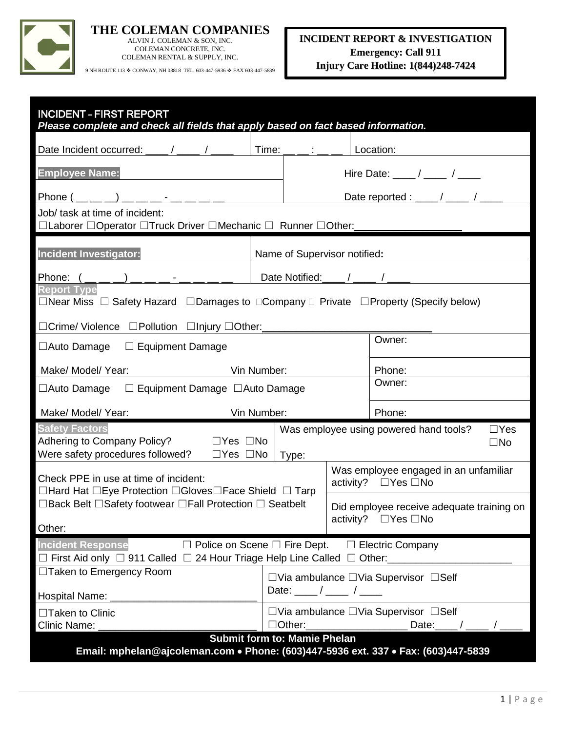

### **THE COLEMAN COMPANIES** ALVIN J. COLEMAN & SON, INC.

COLEMAN CONCRETE, INC. COLEMAN RENTAL & SUPPLY, INC.

9 NH ROUTE 113  $\spadesuit$  CONWAY, NH 03818 TEL. 603-447-5936  $\spadesuit$  FAX 603-447-5839

| <b>INCIDENT - FIRST REPORT</b><br>Please complete and check all fields that apply based on fact based information.                                                                                                        |                                                                                           |                                                                                        |  |                                                                   |  |  |
|---------------------------------------------------------------------------------------------------------------------------------------------------------------------------------------------------------------------------|-------------------------------------------------------------------------------------------|----------------------------------------------------------------------------------------|--|-------------------------------------------------------------------|--|--|
| Date Incident occurred: ____/ _____ / _                                                                                                                                                                                   | Time:                                                                                     |                                                                                        |  | Location:                                                         |  |  |
| <b>Employee Name:</b>                                                                                                                                                                                                     |                                                                                           |                                                                                        |  |                                                                   |  |  |
| Phone ()                                                                                                                                                                                                                  |                                                                                           |                                                                                        |  | Date reported : ____ / ____ / _                                   |  |  |
| Job/ task at time of incident:<br>□Laborer □Operator □Truck Driver □Mechanic □ Runner □Other:                                                                                                                             |                                                                                           |                                                                                        |  |                                                                   |  |  |
| Incident Investigator:<br>Name of Supervisor notified:                                                                                                                                                                    |                                                                                           |                                                                                        |  |                                                                   |  |  |
| Date Notified:<br>Phone: $($ $\_\_$ $\_\_$                                                                                                                                                                                |                                                                                           |                                                                                        |  |                                                                   |  |  |
| <b>Report Type</b><br>$\Box$ Near Miss $\Box$ Safety Hazard $\Box$ Damages to $\Box$ Company $\Box$ Private $\Box$ Property (Specify below)                                                                               |                                                                                           |                                                                                        |  |                                                                   |  |  |
| □Crime/ Violence □Pollution □Injury □Other:<br>$\Box$ Auto Damage<br>$\Box$ Equipment Damage                                                                                                                              |                                                                                           |                                                                                        |  | Owner:                                                            |  |  |
| Make/ Model/ Year:<br>Vin Number:                                                                                                                                                                                         |                                                                                           |                                                                                        |  | Phone:                                                            |  |  |
| $\Box$ Equipment Damage $\Box$ Auto Damage<br>$\Box$ Auto Damage                                                                                                                                                          |                                                                                           |                                                                                        |  | Owner:                                                            |  |  |
| Make/ Model/ Year:                                                                                                                                                                                                        | Vin Number:                                                                               |                                                                                        |  | Phone:                                                            |  |  |
| <b>Safety Factors</b><br>Was employee using powered hand tools?<br>$\Box$ Yes<br>Adhering to Company Policy?<br>$\Box$ Yes $\Box$ No<br>$\square$ No<br>Were safety procedures followed?<br>$\Box$ Yes $\Box$ No<br>Type: |                                                                                           |                                                                                        |  |                                                                   |  |  |
| Check PPE in use at time of incident:<br>$\Box$ Hard Hat $\Box$ Eye Protection $\Box$ Gloves $\Box$ Face Shield $\Box$ Tarp                                                                                               |                                                                                           |                                                                                        |  | Was employee engaged in an unfamiliar<br>activity? □ Yes □ No     |  |  |
| $\Box$ Back Belt $\Box$ Safety footwear $\Box$ Fall Protection $\Box$ Seatbelt<br>Other:                                                                                                                                  |                                                                                           |                                                                                        |  | Did employee receive adequate training on<br>activity? □ Yes □ No |  |  |
| $\Box$ Police on Scene $\Box$ Fire Dept. $\Box$ Electric Company<br><b>Incident Response</b><br>$\Box$ First Aid only $\Box$ 911 Called $\Box$ 24 Hour Triage Help Line Called $\Box$ Other:                              |                                                                                           |                                                                                        |  |                                                                   |  |  |
| □Taken to Emergency Room<br><b>Hospital Name:</b>                                                                                                                                                                         | $\Box$ Via ambulance $\Box$ Via Supervisor $\Box$ Self<br>Date: $\frac{1}{\sqrt{2\pi}}$ / |                                                                                        |  |                                                                   |  |  |
| □Taken to Clinic<br><b>Clinic Name:</b>                                                                                                                                                                                   |                                                                                           | $\Box$ Via ambulance $\Box$ Via Supervisor $\Box$ Self<br>$\Box$ Other:<br>Date: $/$ / |  |                                                                   |  |  |
| <b>Submit form to: Mamie Phelan</b><br>Email: mphelan@ajcoleman.com • Phone: (603)447-5936 ext. 337 • Fax: (603)447-5839                                                                                                  |                                                                                           |                                                                                        |  |                                                                   |  |  |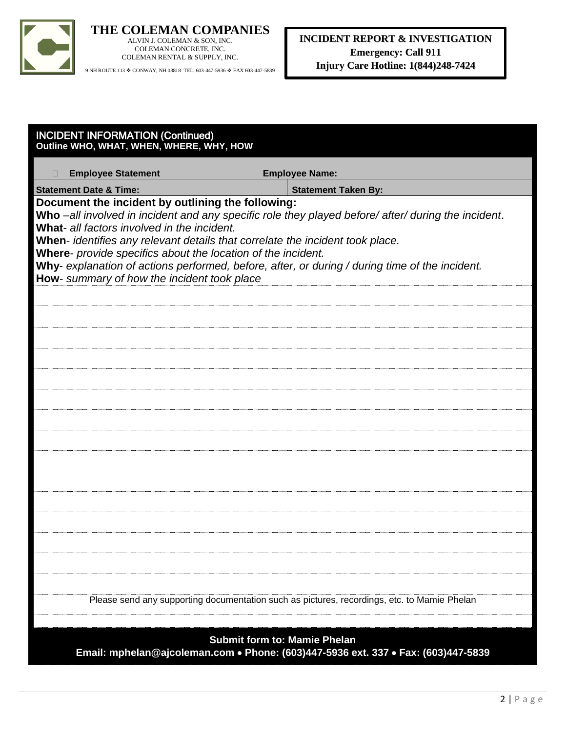

ALVIN J. COLEMAN & SON, INC. COLEMAN CONCRETE, INC. COLEMAN RENTAL & SUPPLY, INC.

9 NH ROUTE 113  $\spadesuit$  CONWAY, NH 03818 TEL. 603-447-5936  $\spadesuit$  FAX 603-447-5839

| <b>INCIDENT INFORMATION (Continued)</b><br>Outline WHO, WHAT, WHEN, WHERE, WHY, HOW                                                                                                                                                                                                                                                                                                                                                                                                                       |                            |  |  |
|-----------------------------------------------------------------------------------------------------------------------------------------------------------------------------------------------------------------------------------------------------------------------------------------------------------------------------------------------------------------------------------------------------------------------------------------------------------------------------------------------------------|----------------------------|--|--|
| <b>Employee Statement</b>                                                                                                                                                                                                                                                                                                                                                                                                                                                                                 | <b>Employee Name:</b>      |  |  |
| <b>Statement Date &amp; Time:</b>                                                                                                                                                                                                                                                                                                                                                                                                                                                                         | <b>Statement Taken By:</b> |  |  |
| Document the incident by outlining the following:<br>Who -all involved in incident and any specific role they played before/ after/ during the incident.<br>What- all factors involved in the incident.<br>When- identifies any relevant details that correlate the incident took place.<br>Where- provide specifics about the location of the incident.<br>Why- explanation of actions performed, before, after, or during / during time of the incident.<br>How- summary of how the incident took place |                            |  |  |
|                                                                                                                                                                                                                                                                                                                                                                                                                                                                                                           |                            |  |  |
|                                                                                                                                                                                                                                                                                                                                                                                                                                                                                                           |                            |  |  |
|                                                                                                                                                                                                                                                                                                                                                                                                                                                                                                           |                            |  |  |
|                                                                                                                                                                                                                                                                                                                                                                                                                                                                                                           |                            |  |  |
|                                                                                                                                                                                                                                                                                                                                                                                                                                                                                                           |                            |  |  |
|                                                                                                                                                                                                                                                                                                                                                                                                                                                                                                           |                            |  |  |
|                                                                                                                                                                                                                                                                                                                                                                                                                                                                                                           |                            |  |  |
|                                                                                                                                                                                                                                                                                                                                                                                                                                                                                                           |                            |  |  |
|                                                                                                                                                                                                                                                                                                                                                                                                                                                                                                           |                            |  |  |
|                                                                                                                                                                                                                                                                                                                                                                                                                                                                                                           |                            |  |  |
|                                                                                                                                                                                                                                                                                                                                                                                                                                                                                                           |                            |  |  |
|                                                                                                                                                                                                                                                                                                                                                                                                                                                                                                           |                            |  |  |
|                                                                                                                                                                                                                                                                                                                                                                                                                                                                                                           |                            |  |  |
| Please send any supporting documentation such as pictures, recordings, etc. to Mamie Phelan                                                                                                                                                                                                                                                                                                                                                                                                               |                            |  |  |
|                                                                                                                                                                                                                                                                                                                                                                                                                                                                                                           |                            |  |  |
| <b>Submit form to: Mamie Phelan</b>                                                                                                                                                                                                                                                                                                                                                                                                                                                                       |                            |  |  |

**Email: mphelan@ajcoleman.com Phone: (603)447-5936 ext. 337 Fax: (603)447-5839**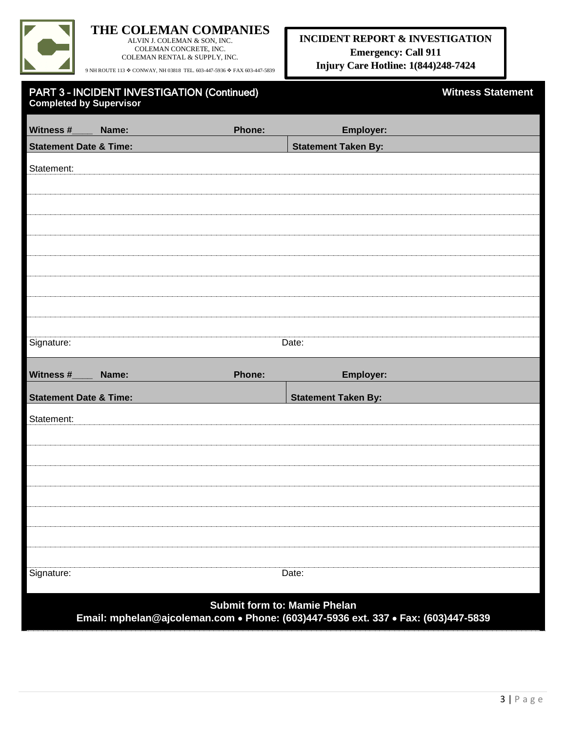

ALVIN J. COLEMAN & SON, INC. COLEMAN CONCRETE, INC. COLEMAN RENTAL & SUPPLY, INC.

9 NH ROUTE 113  $\spadesuit$  CONWAY, NH 03818 TEL. 603-447-5936  $\spadesuit$  FAX 603-447-5839

### **INCIDENT REPORT & INVESTIGATION Emergency: Call 911 Injury Care Hotline: 1(844)248-7424**

| <b>PART 3 - INCIDENT INVESTIGATION (Continued)</b> |  |
|----------------------------------------------------|--|
| <b>Completed by Supervisor</b>                     |  |

**Witness Statement** 

| Witness #                         | Name: | Phone: | Employer:                                                                                                                |
|-----------------------------------|-------|--------|--------------------------------------------------------------------------------------------------------------------------|
| <b>Statement Date &amp; Time:</b> |       |        | <b>Statement Taken By:</b>                                                                                               |
|                                   |       |        |                                                                                                                          |
| Statement:                        |       |        |                                                                                                                          |
|                                   |       |        |                                                                                                                          |
|                                   |       |        |                                                                                                                          |
|                                   |       |        |                                                                                                                          |
|                                   |       |        |                                                                                                                          |
|                                   |       |        |                                                                                                                          |
|                                   |       |        |                                                                                                                          |
|                                   |       |        |                                                                                                                          |
|                                   |       |        |                                                                                                                          |
| Signature:                        |       |        | Date:                                                                                                                    |
| Witness #                         | Name: | Phone: | Employer:                                                                                                                |
| <b>Statement Date &amp; Time:</b> |       |        | <b>Statement Taken By:</b>                                                                                               |
| Statement:                        |       |        |                                                                                                                          |
|                                   |       |        |                                                                                                                          |
|                                   |       |        |                                                                                                                          |
|                                   |       |        |                                                                                                                          |
|                                   |       |        |                                                                                                                          |
|                                   |       |        |                                                                                                                          |
|                                   |       |        |                                                                                                                          |
|                                   |       |        |                                                                                                                          |
| Signature:                        |       |        | Date:                                                                                                                    |
|                                   |       |        | <b>Submit form to: Mamie Phelan</b><br>Email: mphelan@ajcoleman.com • Phone: (603)447-5936 ext. 337 • Fax: (603)447-5839 |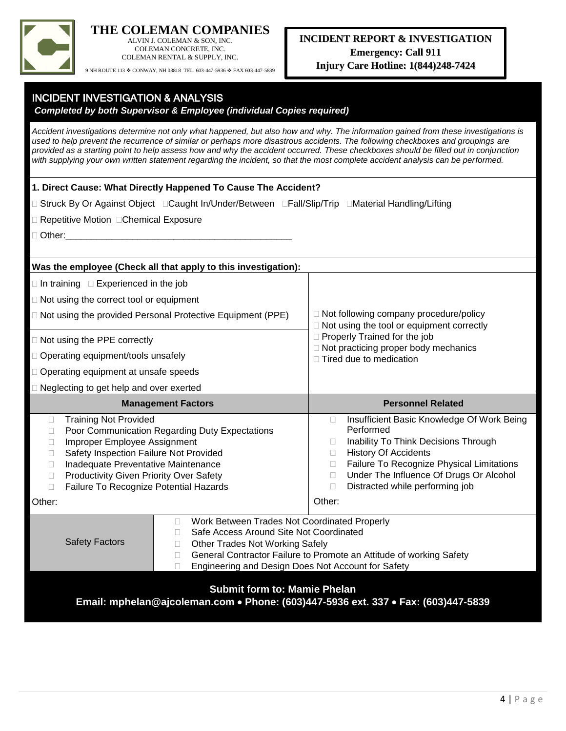

ALVIN J. COLEMAN & SON, INC. COLEMAN CONCRETE, INC. COLEMAN RENTAL & SUPPLY, INC.

9 NH ROUTE 113  $\spadesuit$  CONWAY, NH 03818 TEL. 603-447-5936  $\spadesuit$  FAX 603-447-5839

**INCIDENT INVESTIGATION & ANALYSIS** 

| <b>Completed by both Supervisor &amp; Employee (individual Copies required)</b>                                                                                                                                                                                                                                                                                                                                                                                                                                                                  |                                                                                                                                                                                                                                                                                                                            |  |  |
|--------------------------------------------------------------------------------------------------------------------------------------------------------------------------------------------------------------------------------------------------------------------------------------------------------------------------------------------------------------------------------------------------------------------------------------------------------------------------------------------------------------------------------------------------|----------------------------------------------------------------------------------------------------------------------------------------------------------------------------------------------------------------------------------------------------------------------------------------------------------------------------|--|--|
| Accident investigations determine not only what happened, but also how and why. The information gained from these investigations is<br>used to help prevent the recurrence of similar or perhaps more disastrous accidents. The following checkboxes and groupings are<br>provided as a starting point to help assess how and why the accident occurred. These checkboxes should be filled out in conjunction<br>with supplying your own written statement regarding the incident, so that the most complete accident analysis can be performed. |                                                                                                                                                                                                                                                                                                                            |  |  |
| 1. Direct Cause: What Directly Happened To Cause The Accident?                                                                                                                                                                                                                                                                                                                                                                                                                                                                                   |                                                                                                                                                                                                                                                                                                                            |  |  |
| □ Struck By Or Against Object □Caught In/Under/Between □Fall/Slip/Trip □Material Handling/Lifting                                                                                                                                                                                                                                                                                                                                                                                                                                                |                                                                                                                                                                                                                                                                                                                            |  |  |
| □ Repetitive Motion □ Chemical Exposure                                                                                                                                                                                                                                                                                                                                                                                                                                                                                                          |                                                                                                                                                                                                                                                                                                                            |  |  |
| $\Box$ Other:                                                                                                                                                                                                                                                                                                                                                                                                                                                                                                                                    |                                                                                                                                                                                                                                                                                                                            |  |  |
|                                                                                                                                                                                                                                                                                                                                                                                                                                                                                                                                                  |                                                                                                                                                                                                                                                                                                                            |  |  |
| Was the employee (Check all that apply to this investigation):                                                                                                                                                                                                                                                                                                                                                                                                                                                                                   |                                                                                                                                                                                                                                                                                                                            |  |  |
| $\Box$ In training $\Box$ Experienced in the job                                                                                                                                                                                                                                                                                                                                                                                                                                                                                                 |                                                                                                                                                                                                                                                                                                                            |  |  |
| $\Box$ Not using the correct tool or equipment                                                                                                                                                                                                                                                                                                                                                                                                                                                                                                   |                                                                                                                                                                                                                                                                                                                            |  |  |
| □ Not using the provided Personal Protective Equipment (PPE)                                                                                                                                                                                                                                                                                                                                                                                                                                                                                     | □ Not following company procedure/policy<br>□ Not using the tool or equipment correctly                                                                                                                                                                                                                                    |  |  |
| $\Box$ Not using the PPE correctly                                                                                                                                                                                                                                                                                                                                                                                                                                                                                                               | Properly Trained for the job                                                                                                                                                                                                                                                                                               |  |  |
| □ Operating equipment/tools unsafely                                                                                                                                                                                                                                                                                                                                                                                                                                                                                                             | $\Box$ Not practicing proper body mechanics<br>□ Tired due to medication                                                                                                                                                                                                                                                   |  |  |
| □ Operating equipment at unsafe speeds                                                                                                                                                                                                                                                                                                                                                                                                                                                                                                           |                                                                                                                                                                                                                                                                                                                            |  |  |
| □ Neglecting to get help and over exerted                                                                                                                                                                                                                                                                                                                                                                                                                                                                                                        |                                                                                                                                                                                                                                                                                                                            |  |  |
| <b>Management Factors</b>                                                                                                                                                                                                                                                                                                                                                                                                                                                                                                                        | <b>Personnel Related</b>                                                                                                                                                                                                                                                                                                   |  |  |
| <b>Training Not Provided</b><br>$\Box$<br>Poor Communication Regarding Duty Expectations<br>□<br>Improper Employee Assignment<br>П<br>Safety Inspection Failure Not Provided<br>П<br>Inadequate Preventative Maintenance<br>П<br>Productivity Given Priority Over Safety<br>П<br>Failure To Recognize Potential Hazards<br>П<br>Other:                                                                                                                                                                                                           | Insufficient Basic Knowledge Of Work Being<br>$\Box$<br>Performed<br>Inability To Think Decisions Through<br>$\Box$<br><b>History Of Accidents</b><br>$\Box$<br>Failure To Recognize Physical Limitations<br>$\Box$<br>Under The Influence Of Drugs Or Alcohol<br>$\Box$<br>Distracted while performing job<br>П<br>Other: |  |  |
| Work Between Trades Not Coordinated Properly<br>Ш<br>Safe Access Around Site Not Coordinated<br>$\Box$<br><b>Safety Factors</b><br><b>Other Trades Not Working Safely</b><br>$\Box$<br>П<br>Engineering and Design Does Not Account for Safety<br><b>Submit form to: Mamie Phelan</b><br>Email: mphelan@ajcoleman.com • Phone: (603)447-5936 ext. 337 • Fax: (603)447-5839                                                                                                                                                                       | General Contractor Failure to Promote an Attitude of working Safety                                                                                                                                                                                                                                                        |  |  |